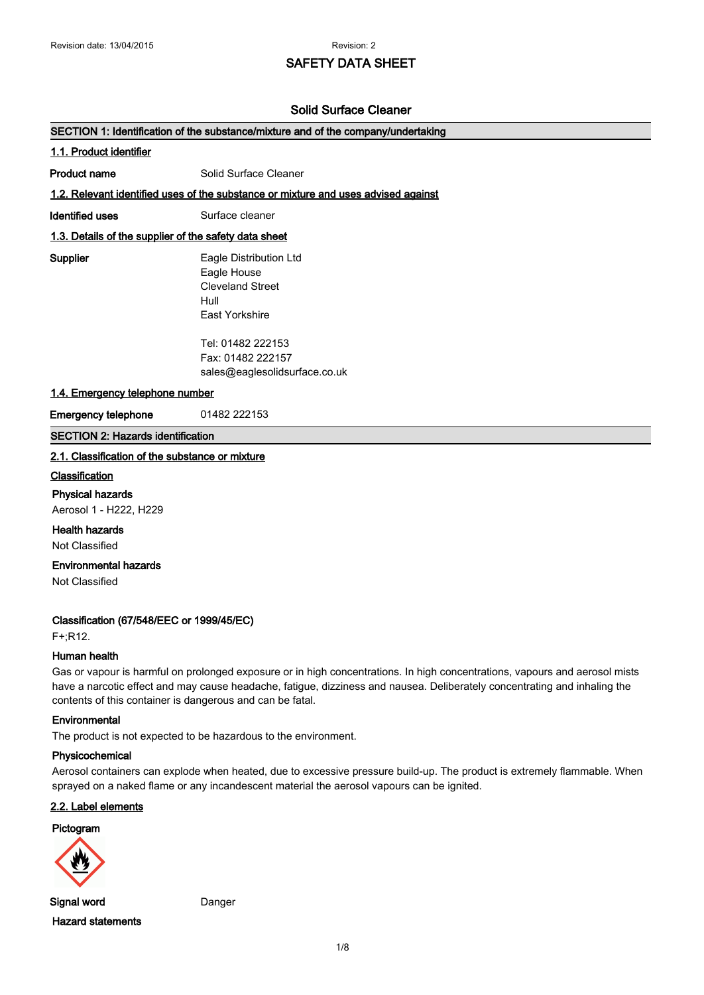# **SAFETY DATA SHEET**

## **Solid Surface Cleaner**

| SECTION 1: Identification of the substance/mixture and of the company/undertaking |                                                                                            |  |
|-----------------------------------------------------------------------------------|--------------------------------------------------------------------------------------------|--|
| 1.1. Product identifier                                                           |                                                                                            |  |
| Product name                                                                      | Solid Surface Cleaner                                                                      |  |
|                                                                                   | 1.2. Relevant identified uses of the substance or mixture and uses advised against         |  |
| Identified uses                                                                   | Surface cleaner                                                                            |  |
| 1.3. Details of the supplier of the safety data sheet                             |                                                                                            |  |
| Supplier                                                                          | Eagle Distribution Ltd<br>Eagle House<br><b>Cleveland Street</b><br>Hull<br>East Yorkshire |  |
| 1.4. Emergency telephone number                                                   | Tel: 01482 222153<br>Fax: 01482 222157<br>sales@eaglesolidsurface.co.uk                    |  |
| <b>Emergency telephone</b>                                                        | 01482 222153                                                                               |  |

## **SECTION 2: Hazards identification**

# **2.1. Classification of the substance or mixture**

#### **Classification**

**Physical hazards**

Aerosol 1 - H222, H229

**Health hazards** Not Classified

**Environmental hazards**

Not Classified

#### **Classification (67/548/EEC or 1999/45/EC)**

F+;R12.

#### **Human health**

Gas or vapour is harmful on prolonged exposure or in high concentrations. In high concentrations, vapours and aerosol mists have a narcotic effect and may cause headache, fatigue, dizziness and nausea. Deliberately concentrating and inhaling the contents of this container is dangerous and can be fatal.

## **Environmental**

The product is not expected to be hazardous to the environment.

#### **Physicochemical**

Aerosol containers can explode when heated, due to excessive pressure build-up. The product is extremely flammable. When sprayed on a naked flame or any incandescent material the aerosol vapours can be ignited.

## **2.2. Label elements**

# **Pictogram**



**Signal word** Danger **Hazard statements**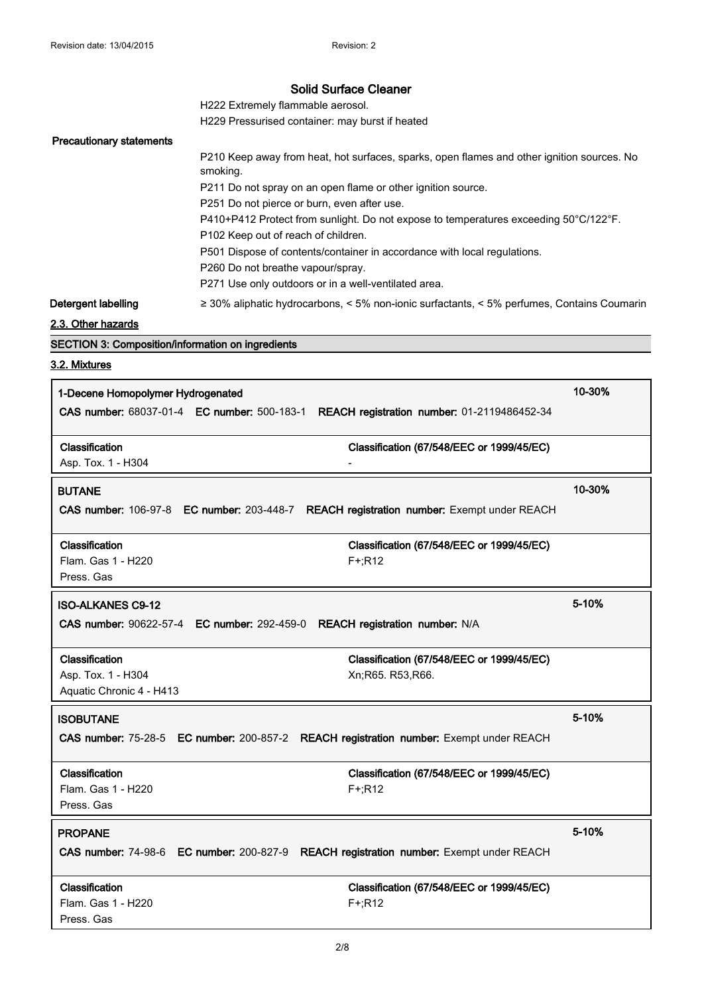H222 Extremely flammable aerosol.

H229 Pressurised container: may burst if heated

# **Precautionary statements**

|                     | P210 Keep away from heat, hot surfaces, sparks, open flames and other ignition sources. No<br>smoking. |
|---------------------|--------------------------------------------------------------------------------------------------------|
|                     | P211 Do not spray on an open flame or other ignition source.                                           |
|                     | P251 Do not pierce or burn, even after use.                                                            |
|                     | P410+P412 Protect from sunlight. Do not expose to temperatures exceeding 50°C/122°F.                   |
|                     | P102 Keep out of reach of children.                                                                    |
|                     | P501 Dispose of contents/container in accordance with local regulations.                               |
|                     | P260 Do not breathe vapour/spray.                                                                      |
|                     | P271 Use only outdoors or in a well-ventilated area.                                                   |
| Detergent labelling | $\geq$ 30% aliphatic hydrocarbons, < 5% non-ionic surfactants, < 5% perfumes, Contains Coumarin        |

**2.3. Other hazards**

**SECTION 3: Composition/information on ingredients**

# **3.2. Mixtures**

| 10-30%<br>1-Decene Homopolymer Hydrogenated<br>CAS number: 68037-01-4 EC number: 500-183-1 REACH registration number: 01-2119486452-34 |                                                               |        |  |
|----------------------------------------------------------------------------------------------------------------------------------------|---------------------------------------------------------------|--------|--|
| Classification<br>Asp. Tox. 1 - H304                                                                                                   | Classification (67/548/EEC or 1999/45/EC)                     |        |  |
| <b>BUTANE</b>                                                                                                                          |                                                               | 10-30% |  |
| CAS number: 106-97-8 EC number: 203-448-7 REACH registration number: Exempt under REACH                                                |                                                               |        |  |
| Classification<br>Flam. Gas 1 - H220<br>Press. Gas                                                                                     | Classification (67/548/EEC or 1999/45/EC)<br>$F+;R12$         |        |  |
| 5-10%<br><b>ISO-ALKANES C9-12</b><br>CAS number: 90622-57-4 EC number: 292-459-0 REACH registration number: N/A                        |                                                               |        |  |
| Classification<br>Asp. Tox. 1 - H304<br>Aquatic Chronic 4 - H413                                                                       | Classification (67/548/EEC or 1999/45/EC)<br>Xn;R65. R53,R66. |        |  |
| <b>ISOBUTANE</b><br>CAS number: 75-28-5 EC number: 200-857-2 REACH registration number: Exempt under REACH                             |                                                               | 5-10%  |  |
| Classification<br>Flam. Gas 1 - H220<br>Press, Gas                                                                                     | Classification (67/548/EEC or 1999/45/EC)<br>$F+;R12$         |        |  |
| <b>PROPANE</b><br>CAS number: 74-98-6 EC number: 200-827-9 REACH registration number: Exempt under REACH                               |                                                               | 5-10%  |  |
| Classification<br>Flam. Gas 1 - H220<br>Press. Gas                                                                                     | Classification (67/548/EEC or 1999/45/EC)<br>$F+;R12$         |        |  |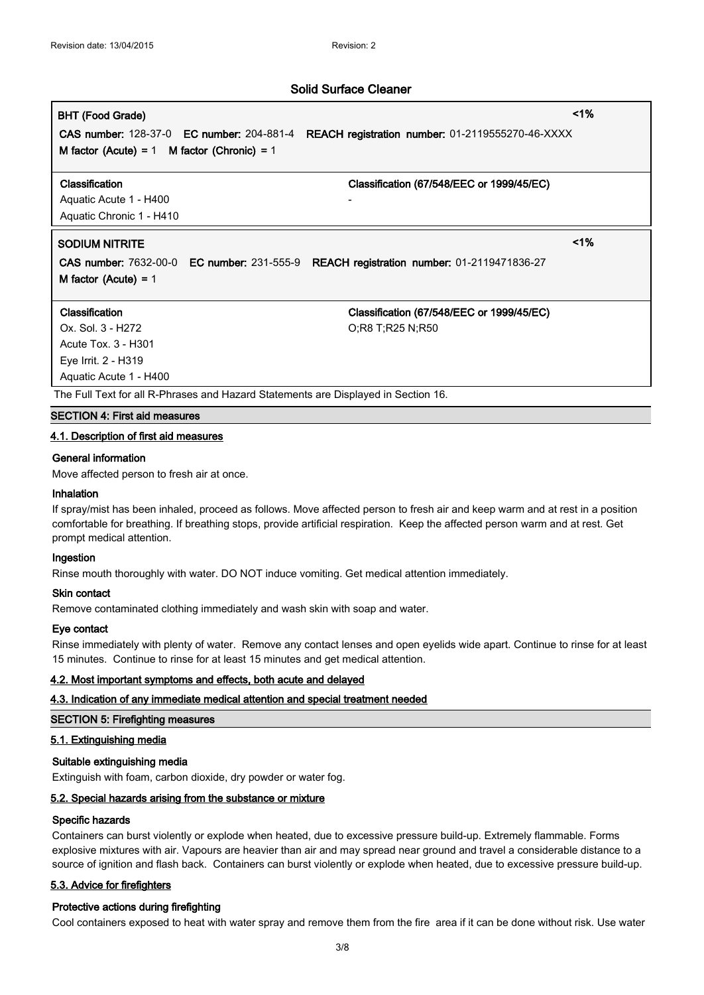# **BHT (Food Grade) <1%**

**CAS number:** 128-37-0 **EC number:** 204-881-4 **REACH registration number:** 01-2119555270-46-XXXX **M factor (Acute) =** 1 **M factor (Chronic) =** 1

#### **Classification Classification (67/548/EEC or 1999/45/EC)**

Aquatic Acute 1 - H400 Aquatic Chronic 1 - H410

# **SODIUM NITRITE <1%**

**CAS number:** 7632-00-0 **EC number:** 231-555-9 **REACH registration number:** 01-2119471836-27 **M factor (Acute) =** 1

Ox. Sol. 3 - H272 CX. Sol. 3 - H272 Acute Tox. 3 - H301 Eye Irrit. 2 - H319 Aquatic Acute 1 - H400

**Classification Classification (67/548/EEC or 1999/45/EC)**

The Full Text for all R-Phrases and Hazard Statements are Displayed in Section 16.

# **SECTION 4: First aid measures**

# **4.1. Description of first aid measures**

#### **General information**

Move affected person to fresh air at once.

#### **Inhalation**

If spray/mist has been inhaled, proceed as follows. Move affected person to fresh air and keep warm and at rest in a position comfortable for breathing. If breathing stops, provide artificial respiration. Keep the affected person warm and at rest. Get prompt medical attention.

#### **Ingestion**

Rinse mouth thoroughly with water. DO NOT induce vomiting. Get medical attention immediately.

#### **Skin contact**

Remove contaminated clothing immediately and wash skin with soap and water.

# **Eye contact**

Rinse immediately with plenty of water. Remove any contact lenses and open eyelids wide apart. Continue to rinse for at least 15 minutes. Continue to rinse for at least 15 minutes and get medical attention.

# **4.2. Most important symptoms and effects, both acute and delayed**

# **4.3. Indication of any immediate medical attention and special treatment needed**

## **SECTION 5: Firefighting measures**

# **5.1. Extinguishing media**

#### **Suitable extinguishing media**

Extinguish with foam, carbon dioxide, dry powder or water fog.

#### **5.2. Special hazards arising from the substance or mixture**

#### **Specific hazards**

Containers can burst violently or explode when heated, due to excessive pressure build-up. Extremely flammable. Forms explosive mixtures with air. Vapours are heavier than air and may spread near ground and travel a considerable distance to a source of ignition and flash back. Containers can burst violently or explode when heated, due to excessive pressure build-up.

# **5.3. Advice for firefighters**

#### **Protective actions during firefighting**

Cool containers exposed to heat with water spray and remove them from the fire area if it can be done without risk. Use water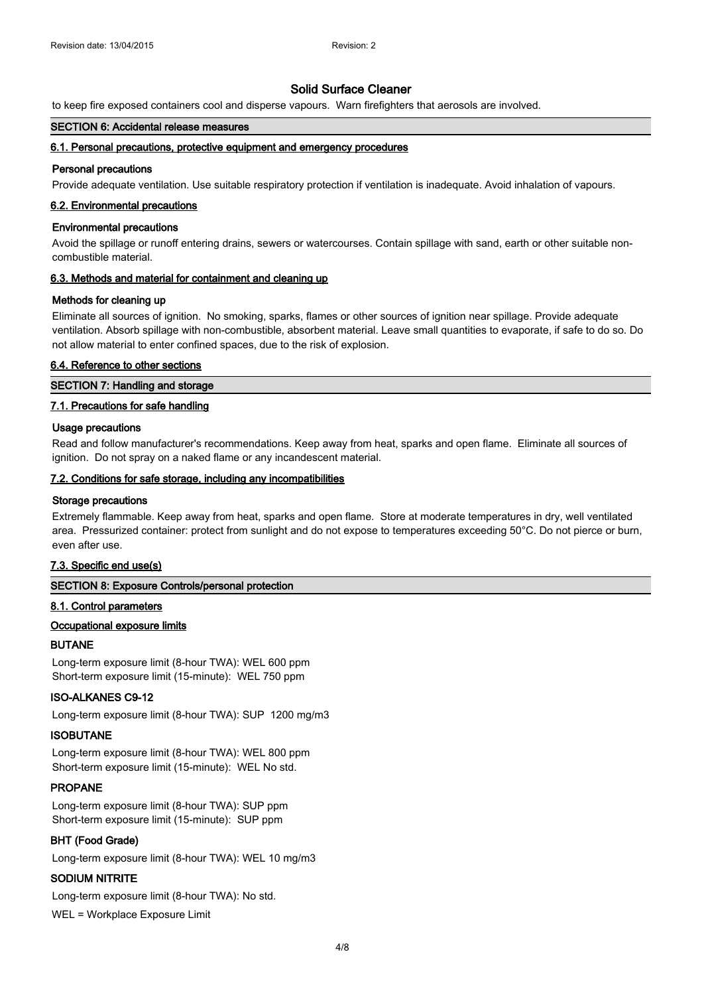to keep fire exposed containers cool and disperse vapours. Warn firefighters that aerosols are involved.

#### **SECTION 6: Accidental release measures**

#### **6.1. Personal precautions, protective equipment and emergency procedures**

#### **Personal precautions**

Provide adequate ventilation. Use suitable respiratory protection if ventilation is inadequate. Avoid inhalation of vapours.

#### **6.2. Environmental precautions**

#### **Environmental precautions**

Avoid the spillage or runoff entering drains, sewers or watercourses. Contain spillage with sand, earth or other suitable noncombustible material.

#### **6.3. Methods and material for containment and cleaning up**

#### **Methods for cleaning up**

Eliminate all sources of ignition. No smoking, sparks, flames or other sources of ignition near spillage. Provide adequate ventilation. Absorb spillage with non-combustible, absorbent material. Leave small quantities to evaporate, if safe to do so. Do not allow material to enter confined spaces, due to the risk of explosion.

#### **6.4. Reference to other sections**

## **SECTION 7: Handling and storage**

#### **7.1. Precautions for safe handling**

#### **Usage precautions**

Read and follow manufacturer's recommendations. Keep away from heat, sparks and open flame. Eliminate all sources of ignition. Do not spray on a naked flame or any incandescent material.

#### **7.2. Conditions for safe storage, including any incompatibilities**

#### **Storage precautions**

Extremely flammable. Keep away from heat, sparks and open flame. Store at moderate temperatures in dry, well ventilated area. Pressurized container: protect from sunlight and do not expose to temperatures exceeding 50°C. Do not pierce or burn, even after use.

#### **7.3. Specific end use(s)**

# **SECTION 8: Exposure Controls/personal protection**

#### **8.1. Control parameters**

#### **Occupational exposure limits**

## **BUTANE**

Long-term exposure limit (8-hour TWA): WEL 600 ppm Short-term exposure limit (15-minute): WEL 750 ppm

#### **ISO-ALKANES C9-12**

Long-term exposure limit (8-hour TWA): SUP 1200 mg/m3

#### **ISOBUTANE**

Long-term exposure limit (8-hour TWA): WEL 800 ppm Short-term exposure limit (15-minute): WEL No std.

#### **PROPANE**

Long-term exposure limit (8-hour TWA): SUP ppm Short-term exposure limit (15-minute): SUP ppm

#### **BHT (Food Grade)**

Long-term exposure limit (8-hour TWA): WEL 10 mg/m3

#### **SODIUM NITRITE**

Long-term exposure limit (8-hour TWA): No std.

WEL = Workplace Exposure Limit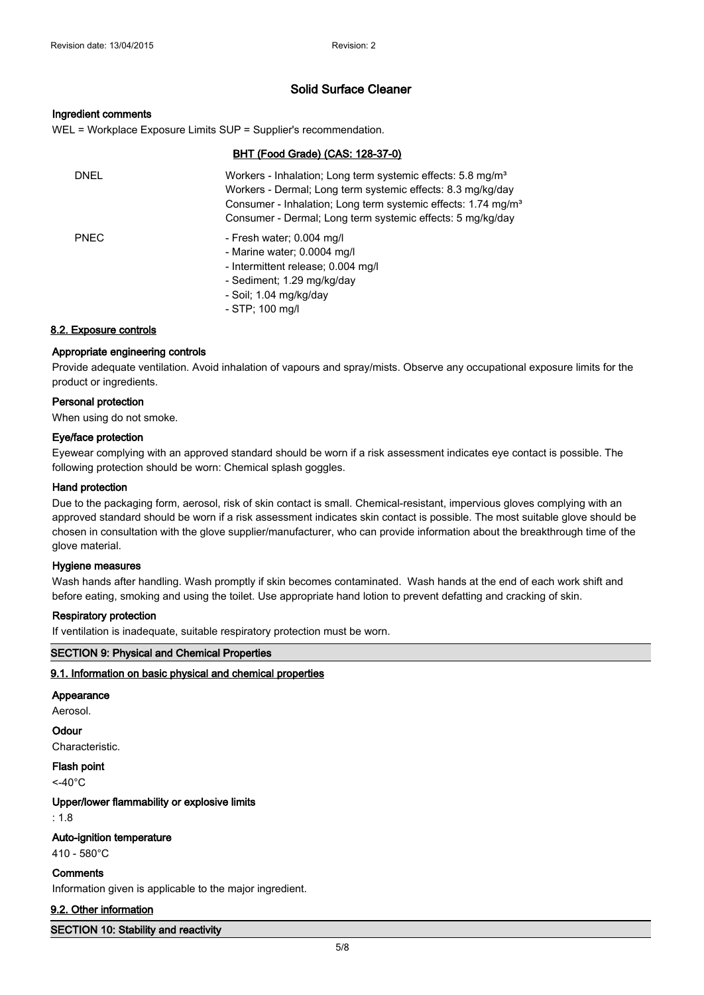#### **Ingredient comments**

WEL = Workplace Exposure Limits SUP = Supplier's recommendation.

# **BHT (Food Grade) (CAS: 128-37-0)**

| DNEL        | Workers - Inhalation; Long term systemic effects: 5.8 mg/m <sup>3</sup><br>Workers - Dermal; Long term systemic effects: 8.3 mg/kg/day<br>Consumer - Inhalation; Long term systemic effects: 1.74 mg/m <sup>3</sup><br>Consumer - Dermal: Long term systemic effects: 5 mg/kg/day |
|-------------|-----------------------------------------------------------------------------------------------------------------------------------------------------------------------------------------------------------------------------------------------------------------------------------|
| <b>PNEC</b> | - Fresh water; 0.004 mg/l<br>- Marine water; 0.0004 mg/l<br>- Intermittent release; 0.004 mg/l<br>- Sediment; 1.29 mg/kg/day<br>- Soil; 1.04 mg/kg/day                                                                                                                            |

- STP; 100 mg/l

## **8.2. Exposure controls**

## **Appropriate engineering controls**

Provide adequate ventilation. Avoid inhalation of vapours and spray/mists. Observe any occupational exposure limits for the product or ingredients.

# **Personal protection**

When using do not smoke.

#### **Eye/face protection**

Eyewear complying with an approved standard should be worn if a risk assessment indicates eye contact is possible. The following protection should be worn: Chemical splash goggles.

#### **Hand protection**

Due to the packaging form, aerosol, risk of skin contact is small. Chemical-resistant, impervious gloves complying with an approved standard should be worn if a risk assessment indicates skin contact is possible. The most suitable glove should be chosen in consultation with the glove supplier/manufacturer, who can provide information about the breakthrough time of the glove material.

#### **Hygiene measures**

Wash hands after handling. Wash promptly if skin becomes contaminated. Wash hands at the end of each work shift and before eating, smoking and using the toilet. Use appropriate hand lotion to prevent defatting and cracking of skin.

#### **Respiratory protection**

If ventilation is inadequate, suitable respiratory protection must be worn.

#### **SECTION 9: Physical and Chemical Properties**

#### **9.1. Information on basic physical and chemical properties**

#### **Appearance**

Aerosol.

#### **Odour**

Characteristic.

**Flash point**  $<$ -40 $^{\circ}$ C

**Upper/lower flammability or explosive limits**

: 1.8

## **Auto-ignition temperature**

410 - 580°C

#### **Comments**

Information given is applicable to the major ingredient.

#### **9.2. Other information**

**SECTION 10: Stability and reactivity**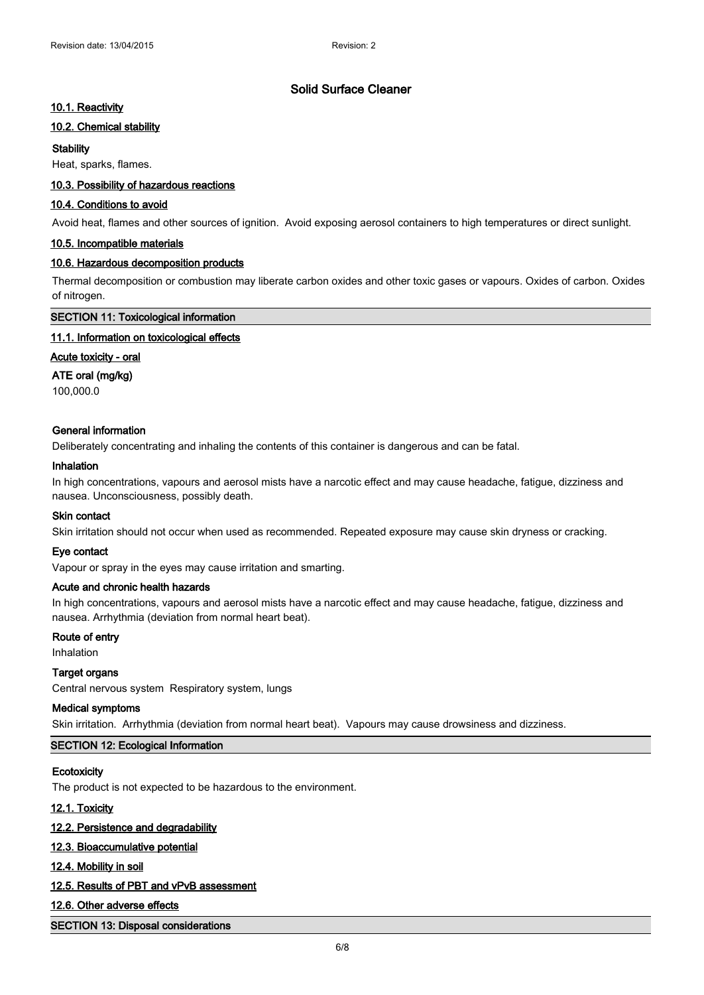# **10.1. Reactivity**

# **10.2. Chemical stability**

# **Stability**

Heat, sparks, flames.

# **10.3. Possibility of hazardous reactions**

# **10.4. Conditions to avoid**

Avoid heat, flames and other sources of ignition. Avoid exposing aerosol containers to high temperatures or direct sunlight.

# **10.5. Incompatible materials**

# **10.6. Hazardous decomposition products**

Thermal decomposition or combustion may liberate carbon oxides and other toxic gases or vapours. Oxides of carbon. Oxides of nitrogen.

#### **SECTION 11: Toxicological information**

# **11.1. Information on toxicological effects**

# **Acute toxicity - oral**

# **ATE oral (mg/kg)**

100,000.0

# **General information**

Deliberately concentrating and inhaling the contents of this container is dangerous and can be fatal.

#### **Inhalation**

In high concentrations, vapours and aerosol mists have a narcotic effect and may cause headache, fatigue, dizziness and nausea. Unconsciousness, possibly death.

# **Skin contact**

Skin irritation should not occur when used as recommended. Repeated exposure may cause skin dryness or cracking.

#### **Eye contact**

Vapour or spray in the eyes may cause irritation and smarting.

# **Acute and chronic health hazards**

In high concentrations, vapours and aerosol mists have a narcotic effect and may cause headache, fatigue, dizziness and nausea. Arrhythmia (deviation from normal heart beat).

# **Route of entry**

Inhalation

# **Target organs**

Central nervous system Respiratory system, lungs

#### **Medical symptoms**

Skin irritation. Arrhythmia (deviation from normal heart beat). Vapours may cause drowsiness and dizziness.

# **SECTION 12: Ecological Information**

# **Ecotoxicity**

The product is not expected to be hazardous to the environment.

# **12.1. Toxicity**

# **12.2. Persistence and degradability**

# **12.3. Bioaccumulative potential**

# **12.4. Mobility in soil**

# **12.5. Results of PBT and vPvB assessment**

# **12.6. Other adverse effects**

# **SECTION 13: Disposal considerations**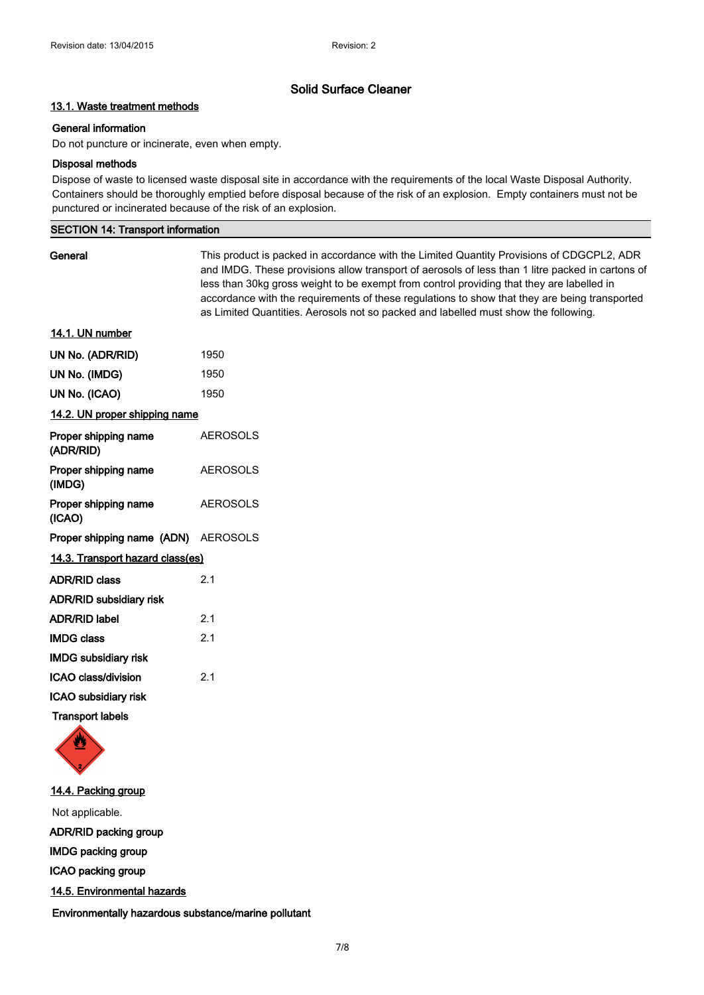# **13.1. Waste treatment methods**

# **General information**

Do not puncture or incinerate, even when empty.

# **Disposal methods**

Dispose of waste to licensed waste disposal site in accordance with the requirements of the local Waste Disposal Authority. Containers should be thoroughly emptied before disposal because of the risk of an explosion. Empty containers must not be punctured or incinerated because of the risk of an explosion.

## **SECTION 14: Transport information**

| General                             | This product is packed in accordance with the Limited Quantity Provisions of CDGCPL2, ADR<br>and IMDG. These provisions allow transport of aerosols of less than 1 litre packed in cartons of<br>less than 30kg gross weight to be exempt from control providing that they are labelled in<br>accordance with the requirements of these regulations to show that they are being transported<br>as Limited Quantities. Aerosols not so packed and labelled must show the following. |
|-------------------------------------|------------------------------------------------------------------------------------------------------------------------------------------------------------------------------------------------------------------------------------------------------------------------------------------------------------------------------------------------------------------------------------------------------------------------------------------------------------------------------------|
| 14.1. UN number                     |                                                                                                                                                                                                                                                                                                                                                                                                                                                                                    |
| UN No. (ADR/RID)                    | 1950                                                                                                                                                                                                                                                                                                                                                                                                                                                                               |
| UN No. (IMDG)                       | 1950                                                                                                                                                                                                                                                                                                                                                                                                                                                                               |
| UN No. (ICAO)                       | 1950                                                                                                                                                                                                                                                                                                                                                                                                                                                                               |
| 14.2. UN proper shipping name       |                                                                                                                                                                                                                                                                                                                                                                                                                                                                                    |
| Proper shipping name<br>(ADR/RID)   | <b>AEROSOLS</b>                                                                                                                                                                                                                                                                                                                                                                                                                                                                    |
| Proper shipping name<br>(IMDG)      | <b>AEROSOLS</b>                                                                                                                                                                                                                                                                                                                                                                                                                                                                    |
| Proper shipping name<br>(ICAO)      | <b>AEROSOLS</b>                                                                                                                                                                                                                                                                                                                                                                                                                                                                    |
| Proper shipping name (ADN) AEROSOLS |                                                                                                                                                                                                                                                                                                                                                                                                                                                                                    |
| 14.3. Transport hazard class(es)    |                                                                                                                                                                                                                                                                                                                                                                                                                                                                                    |
| <b>ADR/RID class</b>                | 2.1                                                                                                                                                                                                                                                                                                                                                                                                                                                                                |
| <b>ADR/RID subsidiary risk</b>      |                                                                                                                                                                                                                                                                                                                                                                                                                                                                                    |
| ADR/RID label                       | 2.1                                                                                                                                                                                                                                                                                                                                                                                                                                                                                |
| <b>IMDG class</b>                   | 2.1                                                                                                                                                                                                                                                                                                                                                                                                                                                                                |
| <b>IMDG subsidiary risk</b>         |                                                                                                                                                                                                                                                                                                                                                                                                                                                                                    |
| ICAO class/division                 | 2.1                                                                                                                                                                                                                                                                                                                                                                                                                                                                                |
| ICAO subsidiary risk                |                                                                                                                                                                                                                                                                                                                                                                                                                                                                                    |
| <b>Transport labels</b>             |                                                                                                                                                                                                                                                                                                                                                                                                                                                                                    |



**14.4. Packing group** Not applicable. **ADR/RID packing group IMDG packing group ICAO packing group 14.5. Environmental hazards**

**Environmentally hazardous substance/marine pollutant**